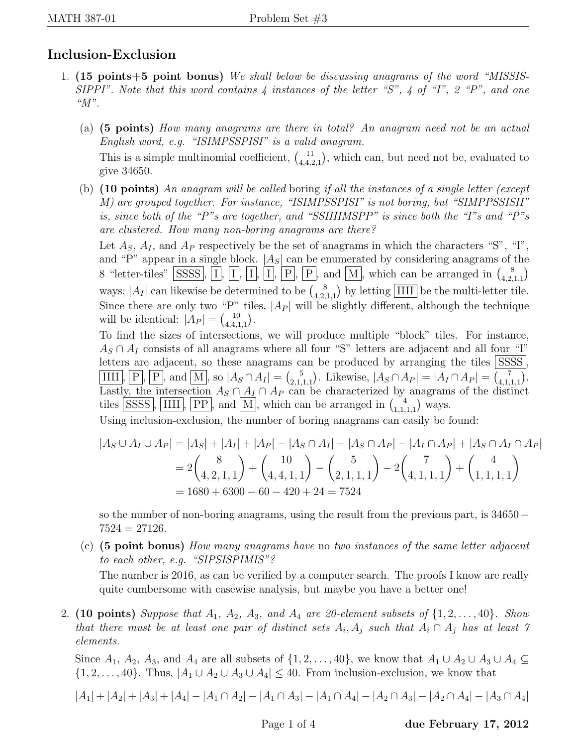## Inclusion-Exclusion

- 1. (15 points+5 point bonus) We shall below be discussing anagrams of the word "MISSIS-SIPPI". Note that this word contains  $\lambda$  instances of the letter "S",  $\lambda$  of "I", 2 "P", and one "M".
	- (a) (5 points) How many anagrams are there in total? An anagram need not be an actual English word, e.g. "ISIMPSSPISI" is a valid anagram.

This is a simple multinomial coefficient,  $\begin{pmatrix} 1 \\ 4 & 4 \end{pmatrix}$  $\frac{11}{4,4,2,1}$ , which can, but need not be, evaluated to give 34650.

(b)  $(10 \text{ points})$  An anagram will be called boring if all the instances of a single letter (except M) are grouped together. For instance, "ISIMPSSPISI" is not boring, but "SIMPPSSISII" is, since both of the "P"s are together, and "SSIIIIMSPP" is since both the "I"s and "P"s are clustered. How many non-boring anagrams are there?

Let  $A_S$ ,  $A_I$ , and  $A_P$  respectively be the set of anagrams in which the characters "S", "I", and "P" appear in a single block.  $|A_S|$  can be enumerated by considering anagrams of the 8 "letter-tiles" SSSS, I, I, I, I, I, P, P, and M, which can be arranged in  $\binom{8}{4}$  $_{4,2,1,1}^{8}$ ways;  $|A_I|$  can likewise be determined to be  $\binom{8}{42}$  $\frac{8}{4,2,1,1}$  by letting IIII be the multi-letter tile. Since there are only two "P" tiles,  $|A_P|$  will be slightly different, although the technique will be identical:  $|A_P| = \binom{10}{4.4.1}$  $\begin{pmatrix} 10 \\ 4,4,1,1 \end{pmatrix}$ .

To find the sizes of intersections, we will produce multiple "block" tiles. For instance,  $A_S \cap A_I$  consists of all anagrams where all four "S" letters are adjacent and all four "I" letters are adjacent, so these anagrams can be produced by arranging the tiles  $|SSSS|$ . IIII, P, P, and M, so  $|A_S \cap A_I| = \binom{5}{2,1}$  $\binom{5}{2,1,1,1}$ . Likewise,  $|A_S \cap A_P| = |A_I \cap A_P| = \binom{7}{4,1}$  $\binom{7}{4,1,1,1}$ . Lastly, the intersection  $A_S \cap A_I \cap A_P$  can be characterized by anagrams of the distinct tiles SSSS, IIII,  $\overline{PP}$ , and M, which can be arranged in  $\binom{4}{11}$  $\binom{4}{1,1,1,1}$  ways.

Using inclusion-exclusion, the number of boring anagrams can easily be found:

$$
|A_S \cup A_I \cup A_P| = |A_S| + |A_I| + |A_P| - |A_S \cap A_I| - |A_S \cap A_P| - |A_I \cap A_P| + |A_S \cap A_I \cap A_P|
$$
  
=  $2 {8 \choose 4, 2, 1, 1} + {10 \choose 4, 4, 1, 1} - {5 \choose 2, 1, 1, 1} - 2 {7 \choose 4, 1, 1, 1} + {4 \choose 1, 1, 1, 1}$   
= 1680 + 6300 - 60 - 420 + 24 = 7524

so the number of non-boring anagrams, using the result from the previous part, is 34650−  $7524 = 27126.$ 

(c) (5 point bonus) How many anagrams have no two instances of the same letter adjacent to each other, e.g. "SIPSISPIMIS"?

The number is 2016, as can be verified by a computer search. The proofs I know are really quite cumbersome with casewise analysis, but maybe you have a better one!

2. (10 points) Suppose that  $A_1$ ,  $A_2$ ,  $A_3$ , and  $A_4$  are 20-element subsets of  $\{1, 2, \ldots, 40\}$ . Show that there must be at least one pair of distinct sets  $A_i, A_j$  such that  $A_i \cap A_j$  has at least 7 elements.

Since  $A_1$ ,  $A_2$ ,  $A_3$ , and  $A_4$  are all subsets of  $\{1, 2, \ldots, 40\}$ , we know that  $A_1 \cup A_2 \cup A_3 \cup A_4 \subseteq$  $\{1, 2, \ldots, 40\}$ . Thus,  $|A_1 \cup A_2 \cup A_3 \cup A_4| \leq 40$ . From inclusion-exclusion, we know that

$$
|A_1|+|A_2|+|A_3|+|A_4|-|A_1\cap A_2|-|A_1\cap A_3|-|A_1\cap A_4|-|A_2\cap A_3|-|A_2\cap A_4|-|A_3\cap A_4|
$$

Page 1 of 4 due February 17, 2012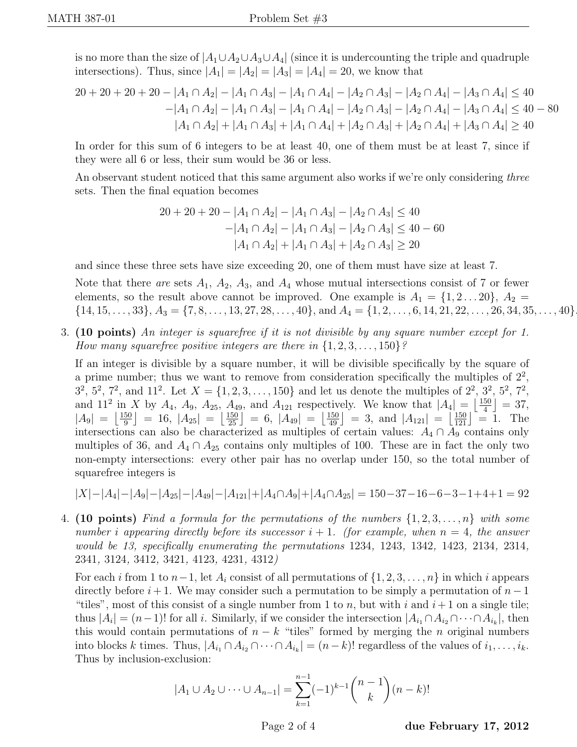is no more than the size of  $|A_1 \cup A_2 \cup A_3 \cup A_4|$  (since it is undercounting the triple and quadruple intersections). Thus, since  $|A_1| = |A_2| = |A_3| = |A_4| = 20$ , we know that

$$
20 + 20 + 20 + 20 - |A_1 \cap A_2| - |A_1 \cap A_3| - |A_1 \cap A_4| - |A_2 \cap A_3| - |A_2 \cap A_4| - |A_3 \cap A_4| \le 40
$$
  

$$
-|A_1 \cap A_2| - |A_1 \cap A_3| - |A_1 \cap A_4| - |A_2 \cap A_3| - |A_2 \cap A_4| - |A_3 \cap A_4| \le 40 - 80
$$
  

$$
|A_1 \cap A_2| + |A_1 \cap A_3| + |A_1 \cap A_4| + |A_2 \cap A_3| + |A_2 \cap A_4| + |A_3 \cap A_4| \ge 40
$$

In order for this sum of 6 integers to be at least 40, one of them must be at least 7, since if they were all 6 or less, their sum would be 36 or less.

An observant student noticed that this same argument also works if we're only considering three sets. Then the final equation becomes

$$
20 + 20 + 20 - |A_1 \cap A_2| - |A_1 \cap A_3| - |A_2 \cap A_3| \le 40
$$
  

$$
-|A_1 \cap A_2| - |A_1 \cap A_3| - |A_2 \cap A_3| \le 40 - 60
$$
  

$$
|A_1 \cap A_2| + |A_1 \cap A_3| + |A_2 \cap A_3| \ge 20
$$

and since these three sets have size exceeding 20, one of them must have size at least 7.

Note that there are sets  $A_1$ ,  $A_2$ ,  $A_3$ , and  $A_4$  whose mutual intersections consist of 7 or fewer elements, so the result above cannot be improved. One example is  $A_1 = \{1, 2 \dots 20\}, A_2 =$  $\{14, 15, \ldots, 33\}, A_3 = \{7, 8, \ldots, 13, 27, 28, \ldots, 40\}, \text{ and } A_4 = \{1, 2, \ldots, 6, 14, 21, 22, \ldots, 26, 34, 35, \ldots, 40\}$ 

3. (10 points) An integer is squarefree if it is not divisible by any square number except for 1. How many squarefree positive integers are there in  $\{1, 2, 3, \ldots, 150\}$ ?

If an integer is divisible by a square number, it will be divisible specifically by the square of a prime number; thus we want to remove from consideration specifically the multiples of  $2^2$ ,  $3^2$ ,  $5^2$ ,  $7^2$ , and  $11^2$ . Let  $X = \{1, 2, 3, \ldots, 150\}$  and let us denote the multiples of  $2^2$ ,  $3^2$ ,  $5^2$ ,  $7^2$ , and 11<sup>2</sup> in X by  $A_4$ ,  $A_9$ ,  $A_{25}$ ,  $A_{49}$ , and  $A_{121}$  respectively. We know that  $|A_4| = \left| \frac{150}{4} \right|$  $\frac{50}{4}$  = 37,  $|A_9| = \frac{150}{9}$  $\left[\frac{50}{9}\right] = 16, |A_{25}| = \left[\frac{150}{25}\right] = 6, |A_{49}| = \left[\frac{150}{49}\right] = 3, \text{ and } |A_{121}| = \left[\frac{150}{121}\right] = 1. \text{ The }$ intersections can also be characterized as multiples of certain values:  $A_4 \cap \overline{A_9}$  contains only multiples of 36, and  $A_4 \cap A_{25}$  contains only multiples of 100. These are in fact the only two non-empty intersections: every other pair has no overlap under 150, so the total number of squarefree integers is

$$
|X|-|A_4|-|A_9|-|A_{25}|-|A_{49}|-|A_{121}|+|A_4\cap A_9|+|A_4\cap A_{25}|=150-37-16-6-3-1+4+1=92
$$

4. (10 points) Find a formula for the permutations of the numbers  $\{1, 2, 3, \ldots, n\}$  with some number i appearing directly before its successor  $i + 1$ . (for example, when  $n = 4$ , the answer would be 13, specifically enumerating the permutations 1234, 1243, 1342, 1423, 2134, 2314, 2341, 3124, 3412, 3421, 4123, 4231, 4312)

For each i from 1 to  $n-1$ , let  $A_i$  consist of all permutations of  $\{1, 2, 3, \ldots, n\}$  in which i appears directly before  $i + 1$ . We may consider such a permutation to be simply a permutation of  $n - 1$ "tiles", most of this consist of a single number from 1 to n, but with i and  $i+1$  on a single tile; thus  $|A_i| = (n-1)!$  for all i. Similarly, if we consider the intersection  $|A_{i_1} \cap A_{i_2} \cap \cdots \cap A_{i_k}|$ , then this would contain permutations of  $n - k$  "tiles" formed by merging the n original numbers into blocks k times. Thus,  $|A_{i_1} \cap A_{i_2} \cap \cdots \cap A_{i_k}| = (n-k)!$  regardless of the values of  $i_1, \ldots, i_k$ . Thus by inclusion-exclusion:

$$
|A_1 \cup A_2 \cup \dots \cup A_{n-1}| = \sum_{k=1}^{n-1} (-1)^{k-1} {n-1 \choose k} (n-k)!
$$

Page 2 of 4 due February 17, 2012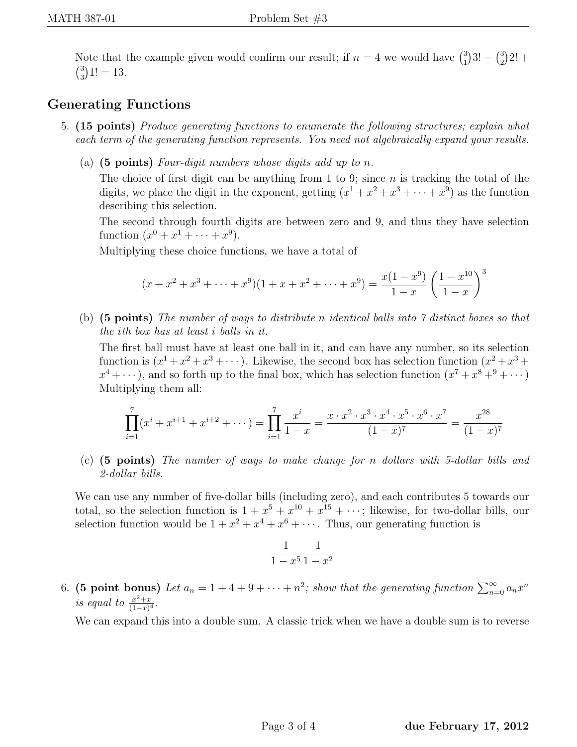Note that the example given would confirm our result; if  $n = 4$  we would have  $\binom{3}{1}$  $\binom{3}{1}3! - \binom{3}{2}$  $^{3}_{2})$ 2! +  $\binom{3}{2}$  $_{3}^{3}$ )1! = 13.

## Generating Functions

- 5. (15 points) Produce generating functions to enumerate the following structures; explain what each term of the generating function represents. You need not algebraically expand your results.
	- (a)  $(5 \text{ points})$  Four-digit numbers whose digits add up to n.

The choice of first digit can be anything from 1 to 9; since  $n$  is tracking the total of the digits, we place the digit in the exponent, getting  $(x^1 + x^2 + x^3 + \cdots + x^9)$  as the function describing this selection.

The second through fourth digits are between zero and 9, and thus they have selection function  $(x^{0} + x^{1} + \cdots + x^{9})$ .

Multiplying these choice functions, we have a total of

$$
(x+x^2+x^3+\cdots+x^9)(1+x+x^2+\cdots+x^9) = \frac{x(1-x^9)}{1-x} \left(\frac{1-x^{10}}{1-x}\right)^3
$$

(b) (5 points) The number of ways to distribute n identical balls into 7 distinct boxes so that the ith box has at least i balls in it.

The first ball must have at least one ball in it, and can have any number, so its selection function is  $(x^1 + x^2 + x^3 + \cdots)$ . Likewise, the second box has selection function  $(x^2 + x^3 +$  $x^4 + \cdots$ , and so forth up to the final box, which has selection function  $(x^7 + x^8 +^9 + \cdots)$ Multiplying them all:

$$
\prod_{i=1}^{7} (x^{i} + x^{i+1} + x^{i+2} + \cdots) = \prod_{i=1}^{7} \frac{x^{i}}{1-x} = \frac{x \cdot x^{2} \cdot x^{3} \cdot x^{4} \cdot x^{5} \cdot x^{6} \cdot x^{7}}{(1-x)^{7}} = \frac{x^{28}}{(1-x)^{7}}
$$

(c) (5 points) The number of ways to make change for n dollars with 5-dollar bills and 2-dollar bills.

We can use any number of five-dollar bills (including zero), and each contributes 5 towards our total, so the selection function is  $1 + x^5 + x^{10} + x^{15} + \cdots$ ; likewise, for two-dollar bills, our selection function would be  $1 + x^2 + x^4 + x^6 + \cdots$ . Thus, our generating function is

$$
\frac{1}{1-x^5} \frac{1}{1-x^2}
$$

6. (5 point bonus) Let  $a_n = 1 + 4 + 9 + \cdots + n^2$ ; show that the generating function  $\sum_{n=0}^{\infty} a_n x^n$ is equal to  $\frac{x^2+x}{(1-x)^2}$  $\frac{x^2+x}{(1-x)^4}$ .

We can expand this into a double sum. A classic trick when we have a double sum is to reverse